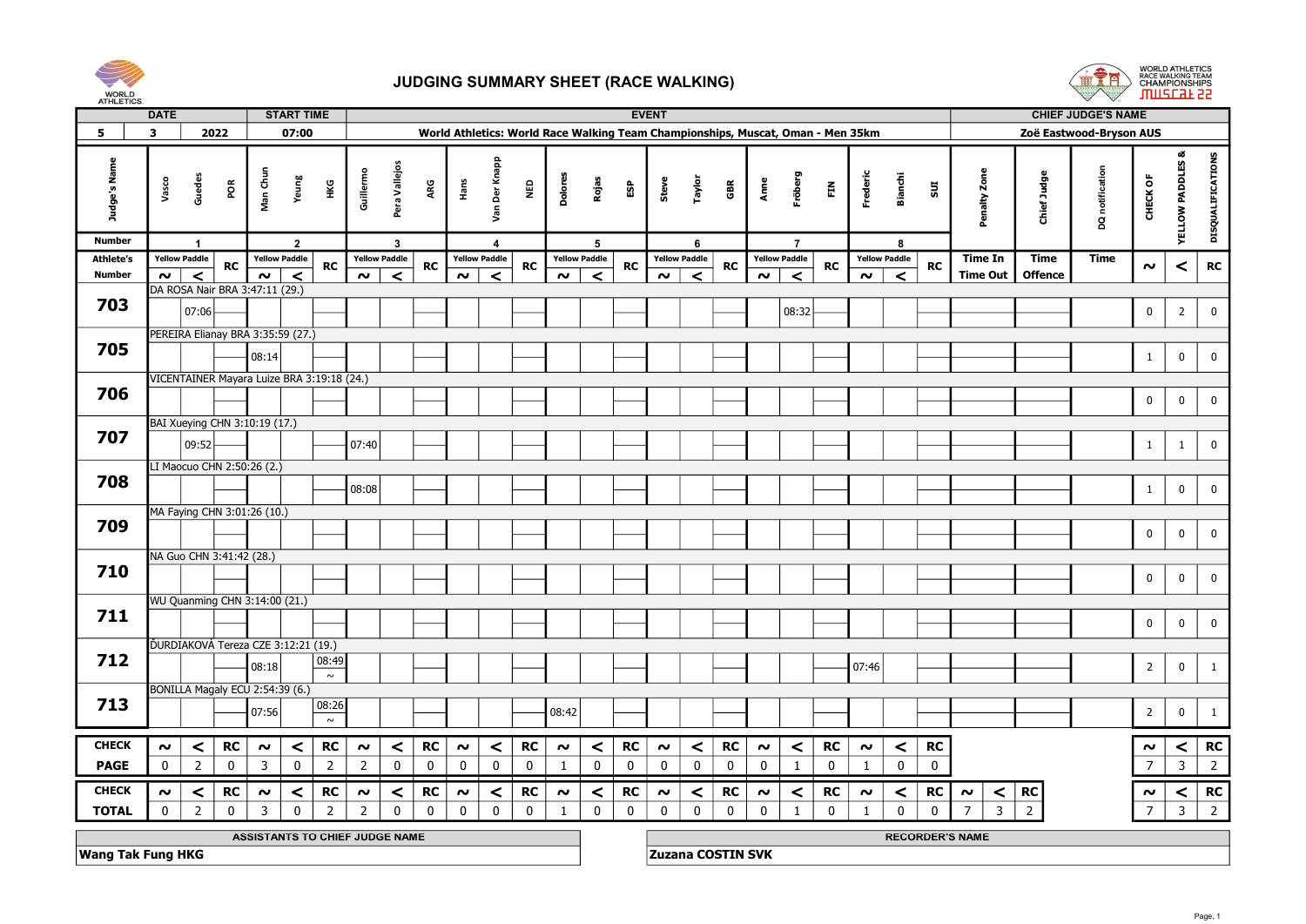



| <b>AUTLLUD</b>   | <b>DATE</b>                                                                                                      |                      |                            |                                                 | <b>START TIME</b> |                 |                     |                      |             |                     |                      |             |             |                      |             |                          | <b>EVENT</b>        |                      |             |             |                      |             |                      |                 |                             |                        |                         |                | <b>CHIEF JUDGE'S NAME</b> |                     |                             |                   |
|------------------|------------------------------------------------------------------------------------------------------------------|----------------------|----------------------------|-------------------------------------------------|-------------------|-----------------|---------------------|----------------------|-------------|---------------------|----------------------|-------------|-------------|----------------------|-------------|--------------------------|---------------------|----------------------|-------------|-------------|----------------------|-------------|----------------------|-----------------|-----------------------------|------------------------|-------------------------|----------------|---------------------------|---------------------|-----------------------------|-------------------|
| 5                | 2022<br>$\mathbf{3}$<br>World Athletics: World Race Walking Team Championships, Muscat, Oman - Men 35km<br>07:00 |                      |                            |                                                 |                   |                 |                     |                      |             |                     |                      |             |             |                      |             |                          |                     |                      |             |             |                      |             |                      |                 |                             |                        | Zoë Eastwood-Bryson AUS |                |                           |                     |                             |                   |
| Judge's Name     | Vasco                                                                                                            | Guedes               | $\tilde{\mathsf{g}}$       | Man Chu                                         | Yeung             | Нĸ              | Guillermo           | Pera Vallejos        | ARG         | Hans                | Der Knapp<br>Van     |             | ۵g<br>N     | Dolore               | Rojas       | ន្ធិ                     | Steve               | Taylor               | GBR         | Anne        | Fröberg              | 臣           | Frederic             | Bianchi         | 501                         | Penalty Zone           |                         | Chief Judge    | DQ notification           | CHECK OF            | <b>YELLOW PADDLES &amp;</b> | DISQUALIFICATIONS |
| <b>Number</b>    |                                                                                                                  | $\overline{1}$       |                            |                                                 | $\overline{2}$    |                 |                     | $\mathbf{3}$         |             |                     | $\mathbf{A}$         |             |             |                      | 5           |                          |                     | 6                    |             |             | $\overline{7}$       |             |                      | 8               |                             |                        |                         |                |                           |                     |                             |                   |
| <b>Athlete's</b> |                                                                                                                  | <b>Yellow Paddle</b> | <b>RC</b>                  | <b>Yellow Paddle</b>                            |                   | <b>RC</b>       |                     | <b>Yellow Paddle</b> | <b>RC</b>   |                     | <b>Yellow Paddle</b> |             | <b>RC</b>   | <b>Yellow Paddle</b> |             | RC                       |                     | <b>Yellow Paddle</b> | RC          |             | <b>Yellow Paddle</b> | <b>RC</b>   | <b>Yellow Paddle</b> |                 | <b>RC</b>                   | <b>Time In</b>         |                         | <b>Time</b>    | <b>Time</b>               | $\boldsymbol{\sim}$ | $\,<$                       | RC                |
| <b>Number</b>    | $\sim$ $\mid$                                                                                                    | $\prec$              |                            | $\sim$ $\mid$<br>DA ROSA Nair BRA 3:47:11 (29.) | $\prec$           |                 | $\sim$              | $\prec$              |             | $\sim$              |                      | $\prec$     |             | $\sim$               | $\prec$     |                          | $\sim$              | $\prec$              |             | $\sim$      | $\prec$              |             | $\sim$               | $\prec$         |                             | <b>Time Out</b>        |                         | <b>Offence</b> |                           |                     |                             |                   |
| 703              |                                                                                                                  |                      |                            |                                                 |                   |                 |                     |                      |             |                     |                      |             |             |                      |             |                          |                     |                      |             |             |                      |             |                      |                 |                             |                        |                         |                |                           |                     |                             |                   |
|                  |                                                                                                                  | 07:06                |                            |                                                 |                   |                 |                     |                      |             |                     |                      |             |             |                      |             |                          |                     |                      |             |             | 08:32                |             |                      |                 |                             |                        |                         |                |                           | $\mathbf 0$         | $\overline{2}$              | $\mathbf 0$       |
|                  |                                                                                                                  |                      |                            | PEREIRA Elianay BRA 3:35:59 (27.)               |                   |                 |                     |                      |             |                     |                      |             |             |                      |             |                          |                     |                      |             |             |                      |             |                      |                 |                             |                        |                         |                |                           |                     |                             |                   |
| 705              |                                                                                                                  |                      |                            | 08:14                                           |                   |                 |                     |                      |             |                     |                      |             |             |                      |             |                          |                     |                      |             |             |                      |             |                      |                 |                             |                        |                         |                |                           | $\mathbf{1}$        | $\bf{0}$                    | $\mathbf 0$       |
|                  |                                                                                                                  |                      |                            | VICENTAINER Mayara Luize BRA 3:19:18 (24.)      |                   |                 |                     |                      |             |                     |                      |             |             |                      |             |                          |                     |                      |             |             |                      |             |                      |                 |                             |                        |                         |                |                           |                     |                             |                   |
| 706              |                                                                                                                  |                      |                            |                                                 |                   |                 |                     |                      |             |                     |                      |             |             |                      |             |                          |                     |                      |             |             |                      |             |                      |                 |                             |                        |                         |                |                           | $\mathbf 0$         | $\mathbf 0$                 | $\mathbf 0$       |
|                  |                                                                                                                  |                      |                            |                                                 |                   |                 |                     |                      |             |                     |                      |             |             |                      |             |                          |                     |                      |             |             |                      |             |                      |                 |                             |                        |                         |                |                           |                     |                             |                   |
| 707              |                                                                                                                  |                      |                            | BAI Xueying CHN 3:10:19 (17.)                   |                   |                 |                     |                      |             |                     |                      |             |             |                      |             |                          |                     |                      |             |             |                      |             |                      |                 |                             |                        |                         |                |                           |                     |                             |                   |
|                  |                                                                                                                  | 09:52                |                            |                                                 |                   |                 | 07:40               |                      |             |                     |                      |             |             |                      |             |                          |                     |                      |             |             |                      |             |                      |                 |                             |                        |                         |                |                           | $\mathbf{1}$        | $\mathbf{1}$                | $\mathbf 0$       |
|                  |                                                                                                                  |                      | LI Maocuo CHN 2:50:26 (2.) |                                                 |                   |                 |                     |                      |             |                     |                      |             |             |                      |             |                          |                     |                      |             |             |                      |             |                      |                 |                             |                        |                         |                |                           |                     |                             |                   |
| 708              |                                                                                                                  |                      |                            |                                                 |                   |                 | 08:08               |                      |             |                     |                      |             |             |                      |             |                          |                     |                      |             |             |                      |             |                      |                 |                             |                        |                         |                |                           | $\mathbf{1}$        | $\bf{0}$                    | $\mathbf 0$       |
|                  |                                                                                                                  |                      |                            | MA Faying CHN 3:01:26 (10.)                     |                   |                 |                     |                      |             |                     |                      |             |             |                      |             |                          |                     |                      |             |             |                      |             |                      |                 |                             |                        |                         |                |                           |                     |                             |                   |
| 709              |                                                                                                                  |                      |                            |                                                 |                   |                 |                     |                      |             |                     |                      |             |             |                      |             |                          |                     |                      |             |             |                      |             |                      |                 |                             |                        |                         |                |                           |                     |                             |                   |
|                  |                                                                                                                  |                      |                            |                                                 |                   |                 |                     |                      |             |                     |                      |             |             |                      |             |                          |                     |                      |             |             |                      |             |                      |                 |                             |                        |                         |                |                           | $\mathbf 0$         | $\mathbf 0$                 | $\mathbf 0$       |
|                  |                                                                                                                  |                      | NA Guo CHN 3:41:42 (28.)   |                                                 |                   |                 |                     |                      |             |                     |                      |             |             |                      |             |                          |                     |                      |             |             |                      |             |                      |                 |                             |                        |                         |                |                           |                     |                             |                   |
| 710              |                                                                                                                  |                      |                            |                                                 |                   |                 |                     |                      |             |                     |                      |             |             |                      |             |                          |                     |                      |             |             |                      |             |                      |                 |                             |                        |                         |                |                           | $\pmb{0}$           | $\bf{0}$                    | $\mathbf 0$       |
|                  |                                                                                                                  |                      |                            | WU Quanming CHN 3:14:00 (21.)                   |                   |                 |                     |                      |             |                     |                      |             |             |                      |             |                          |                     |                      |             |             |                      |             |                      |                 |                             |                        |                         |                |                           |                     |                             |                   |
| 711              |                                                                                                                  |                      |                            |                                                 |                   |                 |                     |                      |             |                     |                      |             |             |                      |             |                          |                     |                      |             |             |                      |             |                      |                 |                             |                        |                         |                |                           |                     |                             |                   |
|                  |                                                                                                                  |                      |                            |                                                 |                   |                 |                     |                      |             |                     |                      |             |             |                      |             |                          |                     |                      |             |             |                      |             |                      |                 |                             |                        |                         |                |                           | $\pmb{0}$           | $\bf{0}$                    | $\mathbf 0$       |
|                  |                                                                                                                  |                      |                            | ĎURDIAKOVÁ Tereza CZE 3:12:21 (19.)             |                   |                 |                     |                      |             |                     |                      |             |             |                      |             |                          |                     |                      |             |             |                      |             |                      |                 |                             |                        |                         |                |                           |                     |                             |                   |
| 712              |                                                                                                                  |                      |                            | 08:18                                           |                   | 08:49<br>$\sim$ |                     |                      |             |                     |                      |             |             |                      |             |                          |                     |                      |             |             |                      |             | 07:46                |                 |                             |                        |                         |                |                           | $\overline{2}$      | $\overline{0}$              | 1                 |
|                  |                                                                                                                  |                      |                            | BONILLA Magaly ECU 2:54:39 (6.)                 |                   |                 |                     |                      |             |                     |                      |             |             |                      |             |                          |                     |                      |             |             |                      |             |                      |                 |                             |                        |                         |                |                           |                     |                             |                   |
| 713              |                                                                                                                  |                      |                            | 07:56                                           |                   | 08:26           |                     |                      |             |                     |                      |             |             | 08:42                |             |                          |                     |                      |             |             |                      |             |                      |                 |                             |                        |                         |                |                           | $\overline{2}$      | $\overline{0}$              | $\mathbf{1}$      |
|                  |                                                                                                                  |                      |                            |                                                 |                   | $\sim$          |                     |                      |             |                     |                      |             |             |                      |             |                          |                     |                      |             |             |                      |             |                      |                 |                             |                        |                         |                |                           |                     |                             |                   |
| <b>CHECK</b>     | $\sim$                                                                                                           | $\prec$              | <b>RC</b>                  | $\boldsymbol{\sim}$                             | $\prec$           | <b>RC</b>       | $\boldsymbol{\sim}$ | $\prec$              | <b>RC</b>   | $\boldsymbol{\sim}$ |                      | $\prec$     | <b>RC</b>   | $\sim$               | $\prec$     | <b>RC</b>                | $\boldsymbol{\sim}$ | $\prec$              | <b>RC</b>   | $\sim$      | $\prec$              | <b>RC</b>   | $\boldsymbol{\sim}$  | $\vert$ $\vert$ | <b>RC</b>                   |                        |                         |                |                           | $\sim$              | $\prec$                     | <b>RC</b>         |
| <b>PAGE</b>      | $\mathbf 0$                                                                                                      | $\overline{2}$       | $\mathbf 0$                | $\overline{3}$                                  | $\mathbf 0$       | $\overline{2}$  | $\overline{2}$      | $\mathbf 0$          | $\mathbf 0$ | $\mathbf{0}$        |                      | $\mathbf 0$ | $\mathbf 0$ | $\mathbf{1}$         | $\mathbf 0$ | $\mathbf 0$              | $\mathbf 0$         | $\mathbf 0$          | $\mathbf 0$ | $\mathbf 0$ | 1                    | $\mathbf 0$ | $\overline{1}$       | $\mathbf 0$     | $\mathbf 0$                 |                        |                         |                |                           | $\overline{7}$      | $\overline{3}$              | $\overline{2}$    |
|                  |                                                                                                                  |                      |                            |                                                 |                   |                 |                     |                      |             |                     |                      |             |             |                      |             |                          |                     |                      |             |             |                      |             |                      |                 |                             |                        |                         |                |                           |                     |                             |                   |
| <b>CHECK</b>     | $\sim$                                                                                                           | $\prec$              | RC                         | $\sim$                                          | $\prec$           | <b>RC</b>       | $\sim$              | $\prec$              | <b>RC</b>   | $\sim$              | $\prec$              |             | RC          | $\sim$               | $\prec$     | <b>RC</b>                | $\sim$              | $\prec$              | <b>RC</b>   | $\sim$      | $\prec$              | <b>RC</b>   | $\sim$               | $\vert$ $\vert$ | $\overline{\phantom{a}}$ RC | $\sim$                 | $\prec$                 | RC             |                           | $\sim$              |                             | $\vert$ RC        |
| <b>TOTAL</b>     | $\mathbf 0$                                                                                                      | $\overline{2}$       | $\mathbf 0$                | $\overline{3}$                                  | $\mathbf 0$       | $\overline{2}$  | $\overline{2}$      | $\mathbf 0$          | $\mathbf 0$ | $\mathbf 0$         | $\mathbf 0$          |             | $\mathbf 0$ | 1                    | $\mathbf 0$ | $\mathbf 0$              | $\mathbf 0$         | $\mathbf 0$          | $\mathbf 0$ | $\mathbf 0$ | $\overline{1}$       | $\mathbf 0$ | -1                   | $\mathbf 0$     | $\Omega$                    | $\overline{7}$         | $\overline{3}$          | $\overline{2}$ |                           | $\overline{7}$      | $\overline{3}$              | $\overline{2}$    |
|                  |                                                                                                                  |                      |                            |                                                 |                   |                 |                     |                      |             |                     |                      |             |             |                      |             |                          |                     |                      |             |             |                      |             |                      |                 |                             | <b>RECORDER'S NAME</b> |                         |                |                           |                     |                             |                   |
|                  | ASSISTANTS TO CHIEF JUDGE NAME<br><b>Wang Tak Fung HKG</b>                                                       |                      |                            |                                                 |                   |                 |                     |                      |             |                     |                      |             |             |                      |             | <b>Zuzana COSTIN SVK</b> |                     |                      |             |             |                      |             |                      |                 |                             |                        |                         |                |                           |                     |                             |                   |

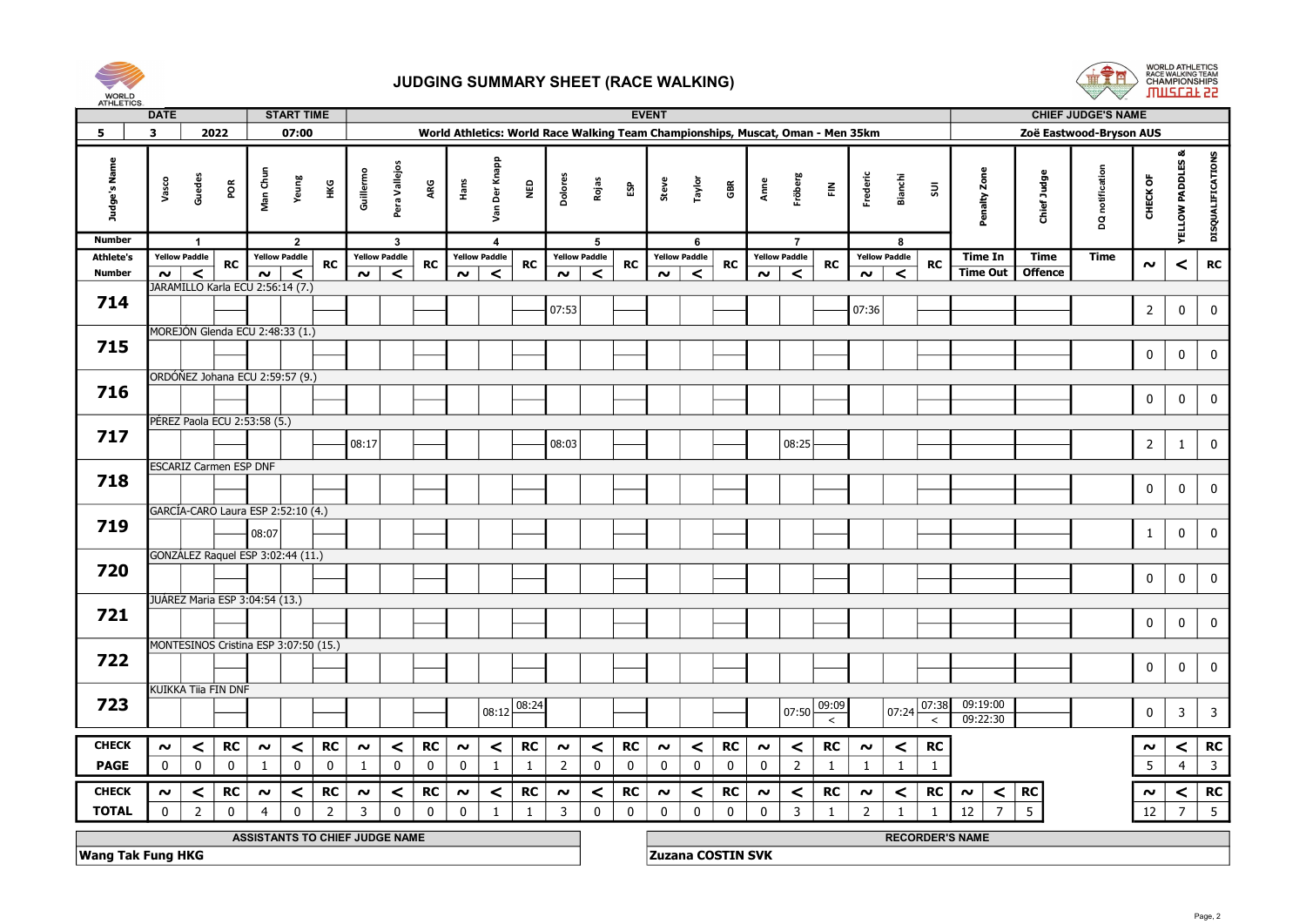



| <b>AIRLEINS</b>  | <b>DATE</b>  |                      |                                             |                | <b>START TIME</b>    |                                |                |                      |             |             |                       |              |                                                                                 |                      |              | <b>EVENT</b> |                      |             |             |                         |               |                      |                          |                |                        |                 | <b>CHIEF JUDGE'S NAME</b> |                 |                             |                         |
|------------------|--------------|----------------------|---------------------------------------------|----------------|----------------------|--------------------------------|----------------|----------------------|-------------|-------------|-----------------------|--------------|---------------------------------------------------------------------------------|----------------------|--------------|--------------|----------------------|-------------|-------------|-------------------------|---------------|----------------------|--------------------------|----------------|------------------------|-----------------|---------------------------|-----------------|-----------------------------|-------------------------|
| 5                | $\mathbf{3}$ |                      | 2022                                        |                | 07:00                |                                |                |                      |             |             |                       |              | World Athletics: World Race Walking Team Championships, Muscat, Oman - Men 35km |                      |              |              |                      |             |             |                         |               |                      |                          |                |                        |                 | Zoë Eastwood-Bryson AUS   |                 |                             |                         |
| Judge's Name     |              | Vasco                | Guedes<br>ΡÕ                                | Man Chu        | Yeung                | Нĸ                             | Guillermo      | Pera Vallejos        | ARG         | Hans<br>    | <b>Der Knapp</b><br>š | <b>Q</b>     | Dolores                                                                         | Rojas                | និ           | Steve        | Taylor               | GBR         | Anne        | Fröberg                 | $\tilde{\Xi}$ | Frederic             | Bianchi                  | 50             | Penalty Zone           | Chief Judge     | DQ notification           | CHECK OF        | <b>YELLOW PADDLES &amp;</b> | DISQUALIFICATIONS       |
| <b>Number</b>    |              |                      | $\overline{1}$                              |                | $\overline{2}$       |                                |                | $\mathbf{3}$         |             |             | 4                     |              |                                                                                 | 5                    |              |              | 6                    |             |             | $\overline{7}$          |               |                      | 8                        |                |                        |                 |                           |                 |                             |                         |
| <b>Athlete's</b> |              | <b>Yellow Paddle</b> | <b>RC</b>                                   |                | <b>Yellow Paddle</b> | <b>RC</b>                      |                | <b>Yellow Paddle</b> | <b>RC</b>   |             | <b>Yellow Paddle</b>  | <b>RC</b>    |                                                                                 | <b>Yellow Paddle</b> | <b>RC</b>    |              | <b>Yellow Paddle</b> | <b>RC</b>   |             | <b>Yellow Paddle</b>    | <b>RC</b>     | <b>Yellow Paddle</b> |                          | <b>RC</b>      | <b>Time In</b>         | Time            | Time                      | $\sim$          | $\,<$                       | RC                      |
| Number           |              | $\sim$ $\mid$        | $\prec$<br>JARAMILLO Karla ECU 2:56:14 (7.) | $\sim$ $\mid$  | $\prec$              |                                | $\sim$         | $\prec$              |             | $\sim$      | $\prec$               |              | $\sim$                                                                          | $\prec$              |              | $\sim$       | $\prec$              |             | $\sim$      | $\overline{\mathbf{C}}$ |               | $\sim$               | $\overline{\phantom{a}}$ |                | <b>Time Out</b>        | <b>Offence</b>  |                           |                 |                             |                         |
| 714              |              |                      |                                             |                |                      |                                |                |                      |             |             |                       |              |                                                                                 |                      |              |              |                      |             |             |                         |               |                      |                          |                |                        |                 |                           |                 |                             |                         |
|                  |              |                      |                                             |                |                      |                                |                |                      |             |             |                       |              | 07:53                                                                           |                      |              |              |                      |             |             |                         |               | 07:36                |                          |                |                        |                 |                           | $\overline{2}$  | $\bf{0}$                    | $\mathbf 0$             |
|                  |              |                      | MOREJÓN Glenda ECU 2:48:33 (1.)             |                |                      |                                |                |                      |             |             |                       |              |                                                                                 |                      |              |              |                      |             |             |                         |               |                      |                          |                |                        |                 |                           |                 |                             |                         |
| 715              |              |                      |                                             |                |                      |                                |                |                      |             |             |                       |              |                                                                                 |                      |              |              |                      |             |             |                         |               |                      |                          |                |                        |                 |                           | $\pmb{0}$       |                             | 0                       |
|                  |              |                      |                                             |                |                      |                                |                |                      |             |             |                       |              |                                                                                 |                      |              |              |                      |             |             |                         |               |                      |                          |                |                        |                 |                           |                 | $\bf{0}$                    |                         |
|                  |              |                      | ORDÓŇEZ Johana ECU 2:59:57 (9.)             |                |                      |                                |                |                      |             |             |                       |              |                                                                                 |                      |              |              |                      |             |             |                         |               |                      |                          |                |                        |                 |                           |                 |                             |                         |
| 716              |              |                      |                                             |                |                      |                                |                |                      |             |             |                       |              |                                                                                 |                      |              |              |                      |             |             |                         |               |                      |                          |                |                        |                 |                           | $\mathbf 0$     | $\bf{0}$                    | 0                       |
|                  |              |                      | PEREZ Paola ECU 2:53:58 (5.)                |                |                      |                                |                |                      |             |             |                       |              |                                                                                 |                      |              |              |                      |             |             |                         |               |                      |                          |                |                        |                 |                           |                 |                             |                         |
| 717              |              |                      |                                             |                |                      |                                |                |                      |             |             |                       |              |                                                                                 |                      |              |              |                      |             |             |                         |               |                      |                          |                |                        |                 |                           |                 |                             |                         |
|                  |              |                      |                                             |                |                      |                                | 08:17          |                      |             |             |                       |              | 08:03                                                                           |                      |              |              |                      |             |             | 08:25                   |               |                      |                          |                |                        |                 |                           | $\overline{2}$  | $\mathbf{1}$                | $\mathbf 0$             |
|                  |              |                      | <b>ESCARIZ Carmen ESP DNF</b>               |                |                      |                                |                |                      |             |             |                       |              |                                                                                 |                      |              |              |                      |             |             |                         |               |                      |                          |                |                        |                 |                           |                 |                             |                         |
| 718              |              |                      |                                             |                |                      |                                |                |                      |             |             |                       |              |                                                                                 |                      |              |              |                      |             |             |                         |               |                      |                          |                |                        |                 |                           | $\mathbf 0$     |                             | $\mathbf 0$             |
|                  |              |                      |                                             |                |                      |                                |                |                      |             |             |                       |              |                                                                                 |                      |              |              |                      |             |             |                         |               |                      |                          |                |                        |                 |                           |                 | $\bf{0}$                    |                         |
|                  |              |                      | GARCÍA-CARO Laura ESP 2:52:10 (4.)          |                |                      |                                |                |                      |             |             |                       |              |                                                                                 |                      |              |              |                      |             |             |                         |               |                      |                          |                |                        |                 |                           |                 |                             |                         |
| 719              |              |                      |                                             | 08:07          |                      |                                |                |                      |             |             |                       |              |                                                                                 |                      |              |              |                      |             |             |                         |               |                      |                          |                |                        |                 |                           | $\mathbf{1}$    | $\mathbf 0$                 | $\mathbf 0$             |
|                  |              |                      | GONZÁLEZ Raquel ESP 3:02:44 (11.)           |                |                      |                                |                |                      |             |             |                       |              |                                                                                 |                      |              |              |                      |             |             |                         |               |                      |                          |                |                        |                 |                           |                 |                             |                         |
| 720              |              |                      |                                             |                |                      |                                |                |                      |             |             |                       |              |                                                                                 |                      |              |              |                      |             |             |                         |               |                      |                          |                |                        |                 |                           |                 |                             |                         |
|                  |              |                      |                                             |                |                      |                                |                |                      |             |             |                       |              |                                                                                 |                      |              |              |                      |             |             |                         |               |                      |                          |                |                        |                 |                           | $\mathbf 0$     | $\bf{0}$                    | 0                       |
|                  |              |                      | JUÁREZ Maria ESP 3:04:54 (13.)              |                |                      |                                |                |                      |             |             |                       |              |                                                                                 |                      |              |              |                      |             |             |                         |               |                      |                          |                |                        |                 |                           |                 |                             |                         |
| 721              |              |                      |                                             |                |                      |                                |                |                      |             |             |                       |              |                                                                                 |                      |              |              |                      |             |             |                         |               |                      |                          |                |                        |                 |                           | $\mathbf 0$     | $\mathbf 0$                 | $\mathbf 0$             |
|                  |              |                      |                                             |                |                      |                                |                |                      |             |             |                       |              |                                                                                 |                      |              |              |                      |             |             |                         |               |                      |                          |                |                        |                 |                           |                 |                             |                         |
|                  |              |                      | MONTESINOS Cristina ESP 3:07:50 (15.)       |                |                      |                                |                |                      |             |             |                       |              |                                                                                 |                      |              |              |                      |             |             |                         |               |                      |                          |                |                        |                 |                           |                 |                             |                         |
| 722              |              |                      |                                             |                |                      |                                |                |                      |             |             |                       |              |                                                                                 |                      |              |              |                      |             |             |                         |               |                      |                          |                |                        |                 |                           | $\mathbf 0$     | $\bf{0}$                    | 0                       |
|                  |              |                      | KUIKKA Tiia FIN DNF                         |                |                      |                                |                |                      |             |             |                       |              |                                                                                 |                      |              |              |                      |             |             |                         |               |                      |                          |                |                        |                 |                           |                 |                             |                         |
| 723              |              |                      |                                             |                |                      |                                |                |                      |             |             |                       | 08:24        |                                                                                 |                      |              |              |                      |             |             |                         | 09:09         |                      |                          | 07:38          | 09:19:00               |                 |                           |                 |                             |                         |
|                  |              |                      |                                             |                |                      |                                |                |                      |             |             | 08:12                 |              |                                                                                 |                      |              |              |                      |             |             | 07:50                   | $\,<\,$       |                      | 07:24                    | $\,<\,$        | 09:22:30               |                 |                           | $\mathbf 0$     | $\overline{\mathbf{3}}$     | $\overline{3}$          |
|                  |              |                      |                                             |                |                      |                                |                |                      |             |             |                       |              |                                                                                 |                      |              |              |                      |             |             |                         |               |                      |                          |                |                        |                 |                           |                 |                             |                         |
| <b>CHECK</b>     | $\sim$       |                      | <b>RC</b><br>$\prec$                        | $\sim$         | $\prec$              | <b>RC</b>                      | $\sim$         | $\prec$              | <b>RC</b>   | $\sim$      | $\prec$               | <b>RC</b>    | $\sim$                                                                          | $\prec$              | <b>RC</b>    | $\sim$       | $\prec$              | <b>RC</b>   | $\sim$      | $\prec$                 | <b>RC</b>     | $\sim$               | $\vert$ $\vert$          | <b>RC</b>      |                        |                 |                           | $\sim$          | $\prec$                     | <b>RC</b>               |
| <b>PAGE</b>      | $\mathbf 0$  |                      | $\mathbf 0$<br>$\mathbf 0$                  | -1             | $\mathbf 0$          | $\bf{0}$                       | -1             | $\mathbf 0$          | $\mathbf 0$ | $\mathbf 0$ | -1                    | 1            | $\overline{2}$                                                                  | 0                    | $\mathbf 0$  | $\mathbf 0$  | $\mathbf 0$          | $\mathbf 0$ | $\mathbf 0$ | $\overline{2}$          | 1             | 1                    | 1                        | $\mathbf{1}$   |                        |                 |                           | $5\phantom{.0}$ | $\overline{4}$              | $\overline{\mathbf{3}}$ |
| <b>CHECK</b>     | $\sim$       |                      | <b>RC</b><br>$\prec$                        | $\sim$         | $\prec$              | <b>RC</b>                      | $\sim$         | $\prec$              | RC          | $\sim$      | $\prec$               | <b>RC</b>    | $\sim$                                                                          | $\prec$              | <b>RC</b>    | $\sim$       | $\prec$              | <b>RC</b>   | $\sim$      | $\prec$                 | <b>RC</b>     | $\boldsymbol{\sim}$  | $\prec$                  | <b>RC</b>      | $\sim$<br>$\prec$      | <b>RC</b>       |                           | $\sim$          | $\prec$                     | RC                      |
| <b>TOTAL</b>     |              | $\mathbf 0$          | $\overline{2}$<br>$\mathbf 0$               | $\overline{4}$ | $\mathbf 0$          | $\overline{2}$                 | $\overline{3}$ | $\mathbf 0$          | 0           | $\mathbf 0$ | 1                     | $\mathbf{1}$ | $\overline{\mathbf{3}}$                                                         |                      | $\mathbf{0}$ | $\mathbf 0$  | $\mathbf 0$          | $\mathbf 0$ | $\mathbf 0$ | $\overline{3}$          | $\mathbf{1}$  | $\overline{2}$       | $\overline{1}$           | $\overline{1}$ | $\overline{7}$<br>12   | $5\overline{)}$ |                           |                 | $\overline{7}$              | 5                       |
|                  |              |                      |                                             |                |                      |                                |                |                      |             |             |                       |              |                                                                                 | 0                    |              |              |                      |             |             |                         |               |                      |                          |                |                        |                 |                           | 12              |                             |                         |
|                  |              |                      |                                             |                |                      | ASSISTANTS TO CHIEF JUDGE NAME |                |                      |             |             |                       |              |                                                                                 |                      |              |              |                      |             |             |                         |               |                      |                          |                | <b>RECORDER'S NAME</b> |                 |                           |                 |                             |                         |

**Wang Tak Fung HKG** Zuzana COSTIN SVK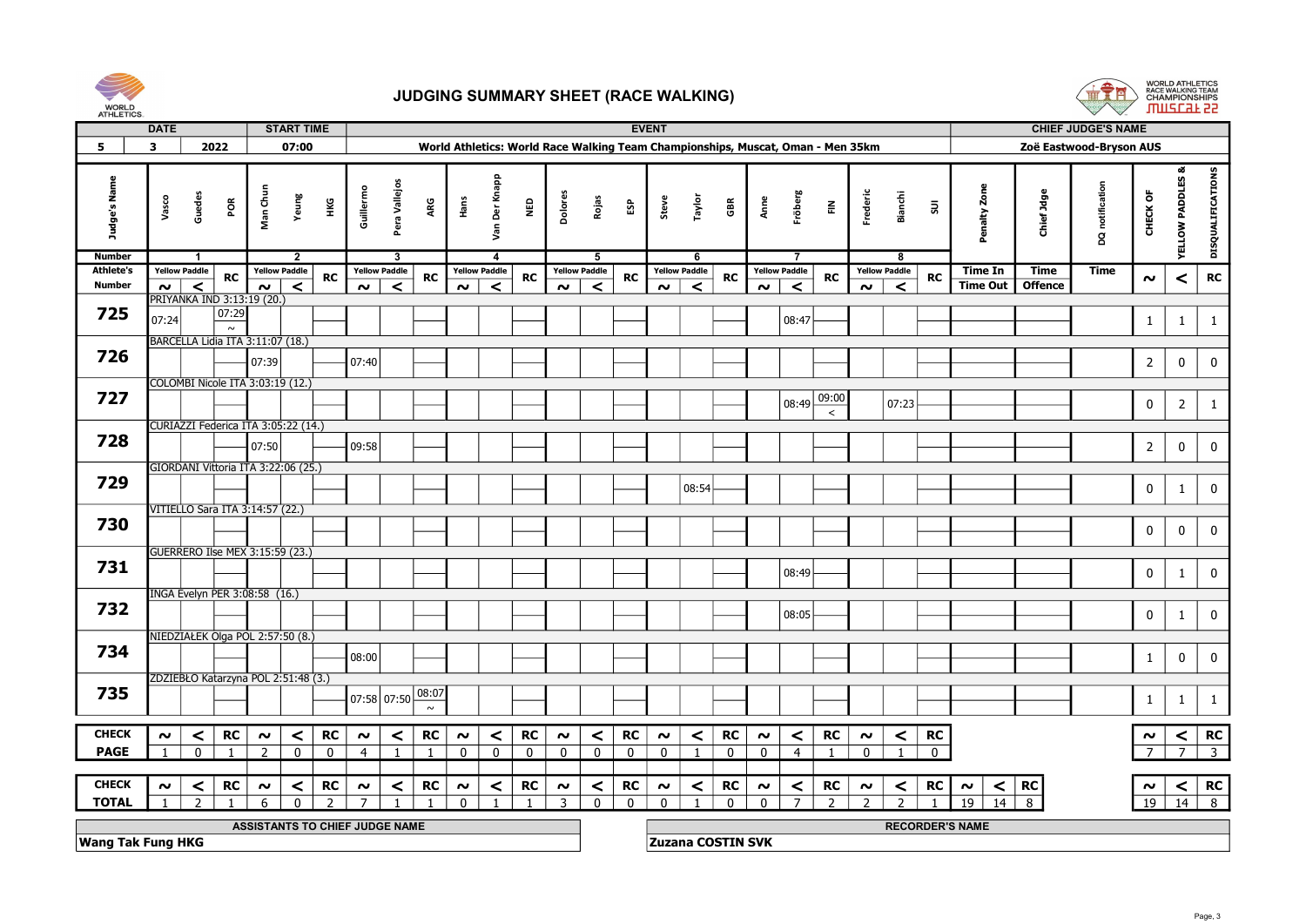



| ALLELING.                |                                                                                                                                     |                      |                                      |                |                                     |                  |                      |           |          |                      |            |          |                      |              |                          |                      |           |                |                      |                |                           |                      |                |                        |                |                         |                          |                     |                         |
|--------------------------|-------------------------------------------------------------------------------------------------------------------------------------|----------------------|--------------------------------------|----------------|-------------------------------------|------------------|----------------------|-----------|----------|----------------------|------------|----------|----------------------|--------------|--------------------------|----------------------|-----------|----------------|----------------------|----------------|---------------------------|----------------------|----------------|------------------------|----------------|-------------------------|--------------------------|---------------------|-------------------------|
|                          | <b>START TIME</b><br><b>EVENT</b><br><b>DATE</b><br>World Athletics: World Race Walking Team Championships, Muscat, Oman - Men 35km |                      |                                      |                |                                     |                  |                      |           |          |                      |            |          |                      |              |                          |                      |           |                |                      |                | <b>CHIEF JUDGE'S NAME</b> |                      |                |                        |                |                         |                          |                     |                         |
| 5                        | $\mathbf{3}$                                                                                                                        |                      | 2022                                 |                | 07:00                               |                  |                      |           |          |                      |            |          |                      |              |                          |                      |           |                |                      |                |                           |                      |                |                        |                | Zoë Eastwood-Bryson AUS |                          |                     |                         |
|                          |                                                                                                                                     |                      |                                      |                |                                     |                  |                      |           |          |                      |            |          |                      |              |                          |                      |           |                |                      |                |                           |                      |                |                        |                |                         |                          |                     |                         |
| Judge's Name             | Vasco                                                                                                                               | Guedes               | $\tilde{\mathsf{R}}$                 | Man Chun       | Yeung                               | Guillermo<br>нĸG | Pera Vallejos        | ARG       | Hans     | Der Knapp<br>Sm      | <b>Q3N</b> | Dolores  | Rojas                | និ           | Steve                    | Taylor               | GBR       | Anne           | Fröberg              | $\tilde{\Xi}$  | Frederic                  | <b>Bianchi</b>       | $\Xi$          | Penalty Zone           | Chief Jdge     | DQ notification         | CHECK OF                 | œ<br>YELLOW PADDLES | DISQUALIFICATIONS       |
| <b>Number</b>            |                                                                                                                                     | -1                   |                                      |                | $\overline{2}$                      |                  | 3                    |           |          | 4                    |            |          | 5                    |              |                          | -6                   |           |                |                      |                |                           | -8                   |                |                        |                |                         |                          |                     |                         |
| <b>Athlete's</b>         |                                                                                                                                     | <b>Yellow Paddle</b> | RC                                   |                | <b>Yellow Paddle</b><br>RC          |                  | <b>Yellow Paddle</b> | <b>RC</b> |          | <b>Yellow Paddle</b> | <b>RC</b>  |          | <b>Yellow Paddle</b> | RC           |                          | <b>Yellow Paddle</b> | <b>RC</b> |                | <b>Yellow Paddle</b> | RC             |                           | <b>Yellow Paddle</b> | <b>RC</b>      | Time In                | Time           | Time                    | $\boldsymbol{\sim}$      | $\,<$               | <b>RC</b>               |
| <b>Number</b>            | $\sim$                                                                                                                              | $\prec$              |                                      | $\sim$         | $\prec$                             |                  | $\sim$<br>$\prec$    |           | $\sim$   | $\prec$              |            | $\sim$   | $\prec$              |              | $\sim$                   | $\prec$              |           | $\sim$         | $\prec$              |                | $\sim$                    | $\prec$              |                | <b>Time Out</b>        | <b>Offence</b> |                         |                          |                     |                         |
| 725                      |                                                                                                                                     |                      | PRIYANKA IND 3:13:19 (20.)<br> 07:29 |                |                                     |                  |                      |           |          |                      |            |          |                      |              |                          |                      |           |                |                      |                |                           |                      |                |                        |                |                         |                          |                     |                         |
|                          | 07:24                                                                                                                               |                      | $\sim$                               |                |                                     |                  |                      |           |          |                      |            |          |                      |              |                          |                      |           |                | 08:47                |                |                           |                      |                |                        |                |                         | $\mathbf{1}$             | $\mathbf{1}$        | 1                       |
|                          |                                                                                                                                     |                      | BARCELLA Lidia ITA 3:11:07 (18.)     |                |                                     |                  |                      |           |          |                      |            |          |                      |              |                          |                      |           |                |                      |                |                           |                      |                |                        |                |                         |                          |                     |                         |
| 726                      |                                                                                                                                     |                      |                                      | 07:39          |                                     |                  | 07:40                |           |          |                      |            |          |                      |              |                          |                      |           |                |                      |                |                           |                      |                |                        |                |                         | $\overline{2}$           | $\pmb{0}$           | 0                       |
|                          |                                                                                                                                     |                      | COLOMBI Nicole ITA 3:03:19 (12.)     |                |                                     |                  |                      |           |          |                      |            |          |                      |              |                          |                      |           |                |                      |                |                           |                      |                |                        |                |                         |                          |                     |                         |
| 727                      |                                                                                                                                     |                      |                                      |                |                                     |                  |                      |           |          |                      |            |          |                      |              |                          |                      |           |                |                      | 09:00          |                           |                      |                |                        |                |                         |                          |                     |                         |
|                          |                                                                                                                                     |                      |                                      |                |                                     |                  |                      |           |          |                      |            |          |                      |              |                          |                      |           |                | 08:49                | $\epsilon$     |                           | 07:23                |                |                        |                |                         | $\mathbf 0$              | $\overline{2}$      | $\mathbf{1}$            |
|                          |                                                                                                                                     |                      |                                      |                | CURIAZZI Federica ITA 3:05:22 (14.) |                  |                      |           |          |                      |            |          |                      |              |                          |                      |           |                |                      |                |                           |                      |                |                        |                |                         |                          |                     |                         |
| 728                      |                                                                                                                                     |                      |                                      | 07:50          |                                     |                  | 09:58                |           |          |                      |            |          |                      |              |                          |                      |           |                |                      |                |                           |                      |                |                        |                |                         | $\overline{2}$           | $\mathbf 0$         | $\bf{0}$                |
|                          |                                                                                                                                     |                      |                                      |                | GIORDANI Vittoria ITA 3:22:06 (25.) |                  |                      |           |          |                      |            |          |                      |              |                          |                      |           |                |                      |                |                           |                      |                |                        |                |                         |                          |                     |                         |
| 729                      |                                                                                                                                     |                      |                                      |                |                                     |                  |                      |           |          |                      |            |          |                      |              |                          |                      |           |                |                      |                |                           |                      |                |                        |                |                         |                          |                     |                         |
|                          |                                                                                                                                     |                      |                                      |                |                                     |                  |                      |           |          |                      |            |          |                      |              |                          | 08:54                |           |                |                      |                |                           |                      |                |                        |                |                         | $\mathbf 0$              | $\mathbf{1}$        | $\mathbf 0$             |
|                          |                                                                                                                                     |                      | VITIELLO Sara ITA 3:14:57 (22.)      |                |                                     |                  |                      |           |          |                      |            |          |                      |              |                          |                      |           |                |                      |                |                           |                      |                |                        |                |                         |                          |                     |                         |
| 730                      |                                                                                                                                     |                      |                                      |                |                                     |                  |                      |           |          |                      |            |          |                      |              |                          |                      |           |                |                      |                |                           |                      |                |                        |                |                         | $\mathbf 0$              | $\mathbf 0$         | $\pmb{0}$               |
|                          |                                                                                                                                     |                      | GUERRERO Ilse MEX 3:15:59 (23.)      |                |                                     |                  |                      |           |          |                      |            |          |                      |              |                          |                      |           |                |                      |                |                           |                      |                |                        |                |                         |                          |                     |                         |
| 731                      |                                                                                                                                     |                      |                                      |                |                                     |                  |                      |           |          |                      |            |          |                      |              |                          |                      |           |                | 08:49                |                |                           |                      |                |                        |                |                         | $\mathbf 0$              |                     | $\mathbf 0$             |
|                          |                                                                                                                                     |                      |                                      |                |                                     |                  |                      |           |          |                      |            |          |                      |              |                          |                      |           |                |                      |                |                           |                      |                |                        |                |                         |                          | $\mathbf{1}$        |                         |
|                          |                                                                                                                                     |                      | INGA Evelyn PER 3:08:58 (16.)        |                |                                     |                  |                      |           |          |                      |            |          |                      |              |                          |                      |           |                |                      |                |                           |                      |                |                        |                |                         |                          |                     |                         |
| 732                      |                                                                                                                                     |                      |                                      |                |                                     |                  |                      |           |          |                      |            |          |                      |              |                          |                      |           |                | 08:05                |                |                           |                      |                |                        |                |                         | $\mathbf 0$              | $\mathbf{1}$        | 0                       |
|                          |                                                                                                                                     |                      | NIEDZIAŁEK Olga POL 2:57:50 (8.)     |                |                                     |                  |                      |           |          |                      |            |          |                      |              |                          |                      |           |                |                      |                |                           |                      |                |                        |                |                         |                          |                     |                         |
| 734                      |                                                                                                                                     |                      |                                      |                |                                     |                  | 08:00                |           |          |                      |            |          |                      |              |                          |                      |           |                |                      |                |                           |                      |                |                        |                |                         | $\mathbf{1}$             | $\mathbf 0$         | $\mathbf 0$             |
|                          |                                                                                                                                     |                      |                                      |                |                                     |                  |                      |           |          |                      |            |          |                      |              |                          |                      |           |                |                      |                |                           |                      |                |                        |                |                         |                          |                     |                         |
| 735                      |                                                                                                                                     |                      |                                      |                | ZDZIEBŁO Katarzyna POL 2:51:48 (3.) |                  |                      | 08:07     |          |                      |            |          |                      |              |                          |                      |           |                |                      |                |                           |                      |                |                        |                |                         |                          |                     |                         |
|                          |                                                                                                                                     |                      |                                      |                |                                     |                  | 07:58 07:50          | $\sim$    |          |                      |            |          |                      |              |                          |                      |           |                |                      |                |                           |                      |                |                        |                |                         | $\mathbf{1}$             | $\mathbf{1}$        | $\mathbf{1}$            |
|                          |                                                                                                                                     |                      |                                      |                |                                     |                  |                      |           |          |                      |            |          |                      |              |                          |                      |           |                |                      |                |                           |                      |                |                        |                |                         |                          |                     |                         |
| <b>CHECK</b>             | $\sim$                                                                                                                              | $\prec$              | <b>RC</b>                            | $\sim$         | <b>RC</b><br>$\prec$                |                  | $\sim$<br>$\prec$    | RC        | $\sim$   | $\prec$              | RC         | $\sim$   | $\prec$              | RC           | $\sim$                   | $\prec$              | RC        | $\sim$         | $\prec$              | RC             | $\sim$                    | $\prec$              | RC             |                        |                |                         | $\sim$                   | $\prec$             | RC                      |
| <b>PAGE</b>              | $\overline{1}$                                                                                                                      | $\overline{0}$       | $\overline{1}$                       | $\overline{2}$ | $\Omega$<br>$\Omega$                |                  | $\overline{4}$       |           | $\Omega$ | $\Omega$             | $\Omega$   | $\Omega$ | $\Omega$             | $\Omega$     | $\Omega$                 |                      | $\Omega$  | $\overline{0}$ | $\overline{4}$       |                | $\Omega$                  |                      | $\overline{0}$ |                        |                |                         | $\overline{\phantom{a}}$ |                     | $\overline{\mathbf{3}}$ |
|                          |                                                                                                                                     |                      |                                      |                |                                     |                  |                      |           |          |                      |            |          |                      |              |                          |                      |           |                |                      |                |                           |                      |                |                        |                |                         |                          |                     |                         |
| <b>CHECK</b>             | $\sim$                                                                                                                              | $\prec$              | <b>RC</b>                            | $\sim$         | RC<br>$\prec$                       |                  | $\sim$<br>$\prec$    | RC        | $\sim$   | $\prec$              | <b>RC</b>  | $\sim$   | ≺                    | RC           | $\sim$                   | $\prec$              | RC        | $\sim$         | $\prec$              | RC             | $\sim$                    | $\prec$              | RC             | $\sim$<br>$\prec$      | RC             |                         | $\sim$                   | $\prec$             | RC                      |
| <b>TOTAL</b>             | $\overline{1}$                                                                                                                      | $\mathcal{P}$        |                                      |                | $\mathcal{D}$                       |                  |                      |           |          |                      |            | 3        | $\Omega$             | $\mathbf{0}$ | $\Omega$                 |                      | $\Omega$  | $\mathbf{0}$   | $\overline{7}$       | $\overline{2}$ | $\mathcal{L}$             | $\overline{z}$       |                | $\overline{14}$<br>19  | 8              |                         | $\overline{19}$          |                     | $\overline{14}$ 8       |
|                          |                                                                                                                                     |                      |                                      |                | ASSISTANTS TO CHIEF JUDGE NAME      |                  |                      |           |          |                      |            |          |                      |              |                          |                      |           |                |                      |                |                           |                      |                | <b>RECORDER'S NAME</b> |                |                         |                          |                     |                         |
| <b>Wang Tak Fung HKG</b> |                                                                                                                                     |                      |                                      |                |                                     |                  |                      |           |          |                      |            |          |                      |              | <b>Zuzana COSTIN SVK</b> |                      |           |                |                      |                |                           |                      |                |                        |                |                         |                          |                     |                         |